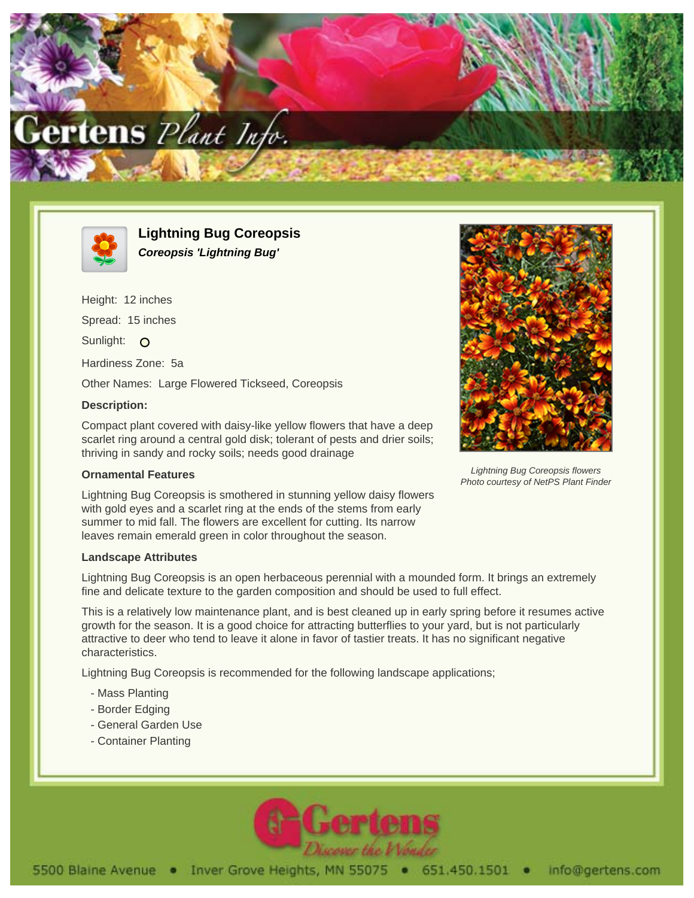



**Lightning Bug Coreopsis Coreopsis 'Lightning Bug'**

Height: 12 inches Spread: 15 inches Sunlight: O Hardiness Zone: 5a Other Names: Large Flowered Tickseed, Coreopsis **Description:**

Compact plant covered with daisy-like yellow flowers that have a deep scarlet ring around a central gold disk; tolerant of pests and drier soils; thriving in sandy and rocky soils; needs good drainage

## **Ornamental Features**

Lightning Bug Coreopsis is smothered in stunning yellow daisy flowers with gold eyes and a scarlet ring at the ends of the stems from early summer to mid fall. The flowers are excellent for cutting. Its narrow leaves remain emerald green in color throughout the season.

## **Landscape Attributes**

Lightning Bug Coreopsis is an open herbaceous perennial with a mounded form. It brings an extremely fine and delicate texture to the garden composition and should be used to full effect.

This is a relatively low maintenance plant, and is best cleaned up in early spring before it resumes active growth for the season. It is a good choice for attracting butterflies to your yard, but is not particularly attractive to deer who tend to leave it alone in favor of tastier treats. It has no significant negative characteristics.

Lightning Bug Coreopsis is recommended for the following landscape applications;

- Mass Planting
- Border Edging
- General Garden Use
- Container Planting





Lightning Bug Coreopsis flowers Photo courtesy of NetPS Plant Finder